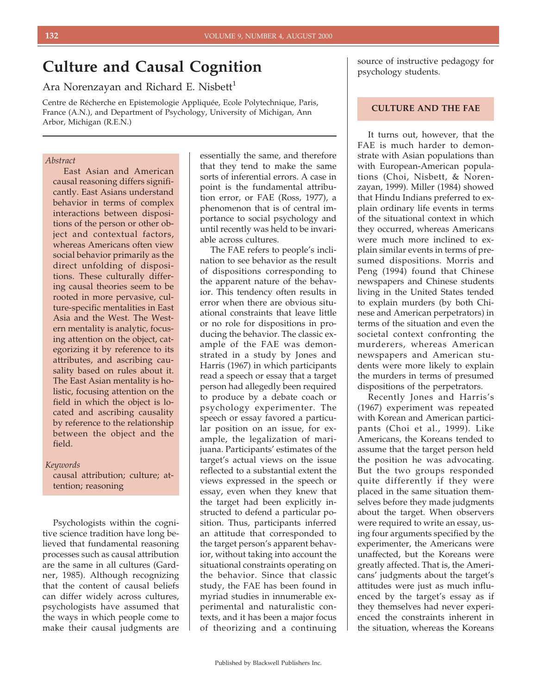# **Culture and Causal Cognition**

Ara Norenzayan and Richard E. Nisbett<sup>1</sup>

Centre de Récherche en Epistemologie Appliquée, Ecole Polytechnique, Paris, France (A.N.), and Department of Psychology, University of Michigan, Ann Arbor, Michigan (R.E.N.)

## *Abstract*

East Asian and American causal reasoning differs significantly. East Asians understand behavior in terms of complex interactions between dispositions of the person or other object and contextual factors, whereas Americans often view social behavior primarily as the direct unfolding of dispositions. These culturally differing causal theories seem to be rooted in more pervasive, culture-specific mentalities in East Asia and the West. The Western mentality is analytic, focusing attention on the object, categorizing it by reference to its attributes, and ascribing causality based on rules about it. The East Asian mentality is holistic, focusing attention on the field in which the object is located and ascribing causality by reference to the relationship between the object and the field.

#### *Keywords*

causal attribution; culture; attention; reasoning

Psychologists within the cognitive science tradition have long believed that fundamental reasoning processes such as causal attribution are the same in all cultures (Gardner, 1985). Although recognizing that the content of causal beliefs can differ widely across cultures, psychologists have assumed that the ways in which people come to make their causal judgments are essentially the same, and therefore that they tend to make the same sorts of inferential errors. A case in point is the fundamental attribution error, or FAE (Ross, 1977), a phenomenon that is of central importance to social psychology and until recently was held to be invariable across cultures.

The FAE refers to people's inclination to see behavior as the result of dispositions corresponding to the apparent nature of the behavior. This tendency often results in error when there are obvious situational constraints that leave little or no role for dispositions in producing the behavior. The classic example of the FAE was demonstrated in a study by Jones and Harris (1967) in which participants read a speech or essay that a target person had allegedly been required to produce by a debate coach or psychology experimenter. The speech or essay favored a particular position on an issue, for example, the legalization of marijuana. Participants' estimates of the target's actual views on the issue reflected to a substantial extent the views expressed in the speech or essay, even when they knew that the target had been explicitly instructed to defend a particular position. Thus, participants inferred an attitude that corresponded to the target person's apparent behavior, without taking into account the situational constraints operating on the behavior. Since that classic study, the FAE has been found in myriad studies in innumerable experimental and naturalistic contexts, and it has been a major focus of theorizing and a continuing

source of instructive pedagogy for psychology students.

### **CULTURE AND THE FAE**

It turns out, however, that the FAE is much harder to demonstrate with Asian populations than with European-American populations (Choi, Nisbett, & Norenzayan, 1999). Miller (1984) showed that Hindu Indians preferred to explain ordinary life events in terms of the situational context in which they occurred, whereas Americans were much more inclined to explain similar events in terms of presumed dispositions. Morris and Peng (1994) found that Chinese newspapers and Chinese students living in the United States tended to explain murders (by both Chinese and American perpetrators) in terms of the situation and even the societal context confronting the murderers, whereas American newspapers and American students were more likely to explain the murders in terms of presumed dispositions of the perpetrators.

Recently Jones and Harris's (1967) experiment was repeated with Korean and American participants (Choi et al., 1999). Like Americans, the Koreans tended to assume that the target person held the position he was advocating. But the two groups responded quite differently if they were placed in the same situation themselves before they made judgments about the target. When observers were required to write an essay, using four arguments specified by the experimenter, the Americans were unaffected, but the Koreans were greatly affected. That is, the Americans' judgments about the target's attitudes were just as much influenced by the target's essay as if they themselves had never experienced the constraints inherent in the situation, whereas the Koreans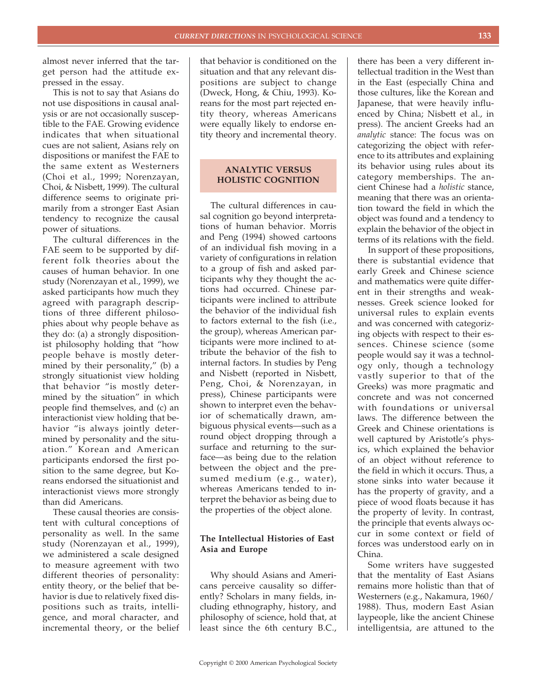almost never inferred that the target person had the attitude expressed in the essay.

This is not to say that Asians do not use dispositions in causal analysis or are not occasionally susceptible to the FAE. Growing evidence indicates that when situational cues are not salient, Asians rely on dispositions or manifest the FAE to the same extent as Westerners (Choi et al., 1999; Norenzayan, Choi, & Nisbett, 1999). The cultural difference seems to originate primarily from a stronger East Asian tendency to recognize the causal power of situations.

The cultural differences in the FAE seem to be supported by different folk theories about the causes of human behavior. In one study (Norenzayan et al., 1999), we asked participants how much they agreed with paragraph descriptions of three different philosophies about why people behave as they do: (a) a strongly dispositionist philosophy holding that "how people behave is mostly determined by their personality," (b) a strongly situationist view holding that behavior "is mostly determined by the situation" in which people find themselves, and (c) an interactionist view holding that behavior "is always jointly determined by personality and the situation." Korean and American participants endorsed the first position to the same degree, but Koreans endorsed the situationist and interactionist views more strongly than did Americans.

These causal theories are consistent with cultural conceptions of personality as well. In the same study (Norenzayan et al., 1999), we administered a scale designed to measure agreement with two different theories of personality: entity theory, or the belief that behavior is due to relatively fixed dispositions such as traits, intelligence, and moral character, and incremental theory, or the belief

that behavior is conditioned on the situation and that any relevant dispositions are subject to change (Dweck, Hong, & Chiu, 1993). Koreans for the most part rejected entity theory, whereas Americans were equally likely to endorse entity theory and incremental theory.

# **ANALYTIC VERSUS HOLISTIC COGNITION**

The cultural differences in causal cognition go beyond interpretations of human behavior. Morris and Peng (1994) showed cartoons of an individual fish moving in a variety of configurations in relation to a group of fish and asked participants why they thought the actions had occurred. Chinese participants were inclined to attribute the behavior of the individual fish to factors external to the fish (i.e., the group), whereas American participants were more inclined to attribute the behavior of the fish to internal factors. In studies by Peng and Nisbett (reported in Nisbett, Peng, Choi, & Norenzayan, in press), Chinese participants were shown to interpret even the behavior of schematically drawn, ambiguous physical events—such as a round object dropping through a surface and returning to the surface—as being due to the relation between the object and the presumed medium (e.g., water), whereas Americans tended to interpret the behavior as being due to the properties of the object alone.

# **The Intellectual Histories of East Asia and Europe**

Why should Asians and Americans perceive causality so differently? Scholars in many fields, including ethnography, history, and philosophy of science, hold that, at least since the 6th century B.C.,

there has been a very different intellectual tradition in the West than in the East (especially China and those cultures, like the Korean and Japanese, that were heavily influenced by China; Nisbett et al., in press). The ancient Greeks had an *analytic* stance: The focus was on categorizing the object with reference to its attributes and explaining its behavior using rules about its category memberships. The ancient Chinese had a *holistic* stance, meaning that there was an orientation toward the field in which the object was found and a tendency to explain the behavior of the object in terms of its relations with the field.

In support of these propositions, there is substantial evidence that early Greek and Chinese science and mathematics were quite different in their strengths and weaknesses. Greek science looked for universal rules to explain events and was concerned with categorizing objects with respect to their essences. Chinese science (some people would say it was a technology only, though a technology vastly superior to that of the Greeks) was more pragmatic and concrete and was not concerned with foundations or universal laws. The difference between the Greek and Chinese orientations is well captured by Aristotle's physics, which explained the behavior of an object without reference to the field in which it occurs. Thus, a stone sinks into water because it has the property of gravity, and a piece of wood floats because it has the property of levity. In contrast, the principle that events always occur in some context or field of forces was understood early on in China.

Some writers have suggested that the mentality of East Asians remains more holistic than that of Westerners (e.g., Nakamura, 1960/ 1988). Thus, modern East Asian laypeople, like the ancient Chinese intelligentsia, are attuned to the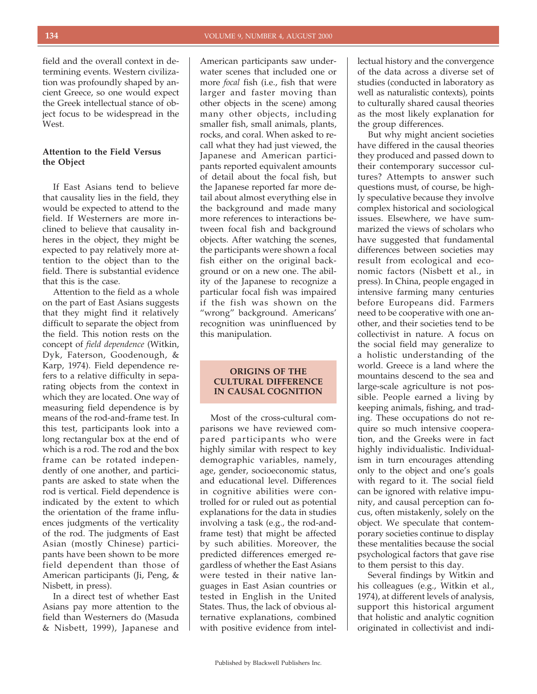field and the overall context in determining events. Western civilization was profoundly shaped by ancient Greece, so one would expect the Greek intellectual stance of object focus to be widespread in the West.

# **Attention to the Field Versus the Object**

If East Asians tend to believe that causality lies in the field, they would be expected to attend to the field. If Westerners are more inclined to believe that causality inheres in the object, they might be expected to pay relatively more attention to the object than to the field. There is substantial evidence that this is the case.

Attention to the field as a whole on the part of East Asians suggests that they might find it relatively difficult to separate the object from the field. This notion rests on the concept of *field dependence* (Witkin, Dyk, Faterson, Goodenough, & Karp, 1974). Field dependence refers to a relative difficulty in separating objects from the context in which they are located. One way of measuring field dependence is by means of the rod-and-frame test. In this test, participants look into a long rectangular box at the end of which is a rod. The rod and the box frame can be rotated independently of one another, and participants are asked to state when the rod is vertical. Field dependence is indicated by the extent to which the orientation of the frame influences judgments of the verticality of the rod. The judgments of East Asian (mostly Chinese) participants have been shown to be more field dependent than those of American participants (Ji, Peng, & Nisbett, in press).

In a direct test of whether East Asians pay more attention to the field than Westerners do (Masuda & Nisbett, 1999), Japanese and

American participants saw underwater scenes that included one or more *focal* fish (i.e., fish that were larger and faster moving than other objects in the scene) among many other objects, including smaller fish, small animals, plants, rocks, and coral. When asked to recall what they had just viewed, the Japanese and American participants reported equivalent amounts of detail about the focal fish, but the Japanese reported far more detail about almost everything else in the background and made many more references to interactions between focal fish and background objects. After watching the scenes, the participants were shown a focal fish either on the original background or on a new one. The ability of the Japanese to recognize a particular focal fish was impaired if the fish was shown on the "wrong" background. Americans' recognition was uninfluenced by this manipulation.

# **ORIGINS OF THE CULTURAL DIFFERENCE IN CAUSAL COGNITION**

Most of the cross-cultural comparisons we have reviewed compared participants who were highly similar with respect to key demographic variables, namely, age, gender, socioeconomic status, and educational level. Differences in cognitive abilities were controlled for or ruled out as potential explanations for the data in studies involving a task (e.g., the rod-andframe test) that might be affected by such abilities. Moreover, the predicted differences emerged regardless of whether the East Asians were tested in their native languages in East Asian countries or tested in English in the United States. Thus, the lack of obvious alternative explanations, combined with positive evidence from intel-

lectual history and the convergence of the data across a diverse set of studies (conducted in laboratory as well as naturalistic contexts), points to culturally shared causal theories as the most likely explanation for the group differences.

But why might ancient societies have differed in the causal theories they produced and passed down to their contemporary successor cultures? Attempts to answer such questions must, of course, be highly speculative because they involve complex historical and sociological issues. Elsewhere, we have summarized the views of scholars who have suggested that fundamental differences between societies may result from ecological and economic factors (Nisbett et al., in press). In China, people engaged in intensive farming many centuries before Europeans did. Farmers need to be cooperative with one another, and their societies tend to be collectivist in nature. A focus on the social field may generalize to a holistic understanding of the world. Greece is a land where the mountains descend to the sea and large-scale agriculture is not possible. People earned a living by keeping animals, fishing, and trading. These occupations do not require so much intensive cooperation, and the Greeks were in fact highly individualistic. Individualism in turn encourages attending only to the object and one's goals with regard to it. The social field can be ignored with relative impunity, and causal perception can focus, often mistakenly, solely on the object. We speculate that contemporary societies continue to display these mentalities because the social psychological factors that gave rise to them persist to this day.

Several findings by Witkin and his colleagues (e.g., Witkin et al., 1974), at different levels of analysis, support this historical argument that holistic and analytic cognition originated in collectivist and indi